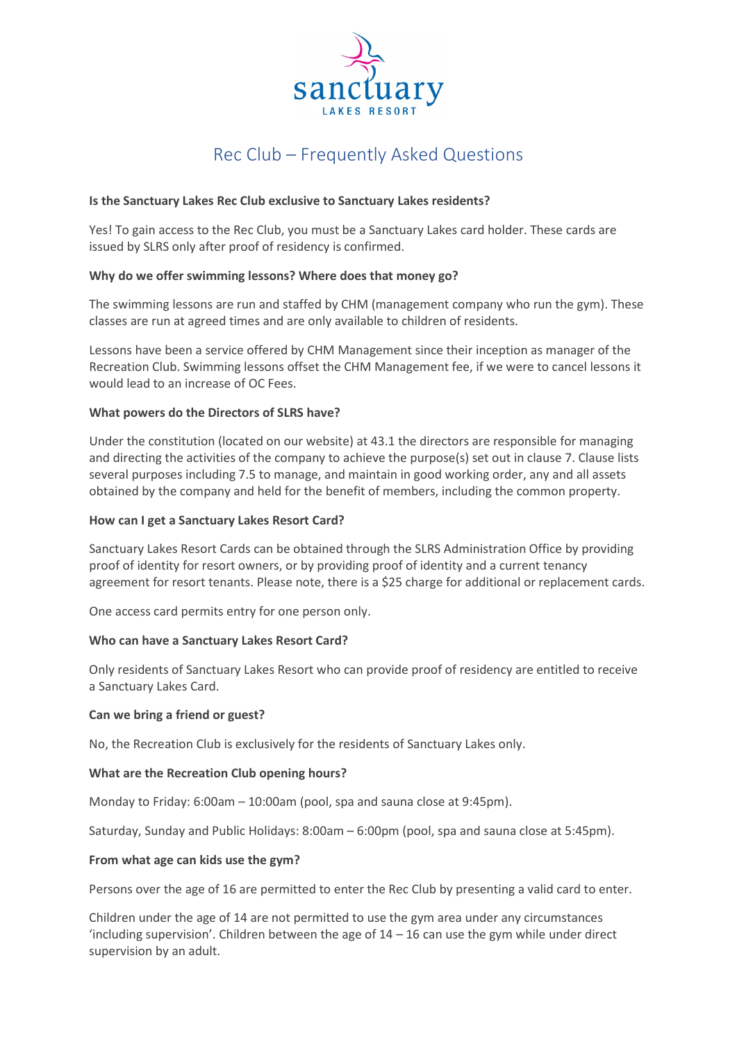

# Rec Club – Frequently Asked Questions

# **Is the Sanctuary Lakes Rec Club exclusive to Sanctuary Lakes residents?**

Yes! To gain access to the Rec Club, you must be a Sanctuary Lakes card holder. These cards are issued by SLRS only after proof of residency is confirmed.

# **Why do we offer swimming lessons? Where does that money go?**

The swimming lessons are run and staffed by CHM (management company who run the gym). These classes are run at agreed times and are only available to children of residents.

Lessons have been a service offered by CHM Management since their inception as manager of the Recreation Club. Swimming lessons offset the CHM Management fee, if we were to cancel lessons it would lead to an increase of OC Fees.

## **What powers do the Directors of SLRS have?**

Under the constitution (located on our website) at 43.1 the directors are responsible for managing and directing the activities of the company to achieve the purpose(s) set out in clause 7. Clause lists several purposes including 7.5 to manage, and maintain in good working order, any and all assets obtained by the company and held for the benefit of members, including the common property.

## **How can I get a Sanctuary Lakes Resort Card?**

Sanctuary Lakes Resort Cards can be obtained through the SLRS Administration Office by providing proof of identity for resort owners, or by providing proof of identity and a current tenancy agreement for resort tenants. Please note, there is a \$25 charge for additional or replacement cards.

One access card permits entry for one person only.

#### **Who can have a Sanctuary Lakes Resort Card?**

Only residents of Sanctuary Lakes Resort who can provide proof of residency are entitled to receive a Sanctuary Lakes Card.

#### **Can we bring a friend or guest?**

No, the Recreation Club is exclusively for the residents of Sanctuary Lakes only.

#### **What are the Recreation Club opening hours?**

Monday to Friday: 6:00am – 10:00am (pool, spa and sauna close at 9:45pm).

Saturday, Sunday and Public Holidays: 8:00am – 6:00pm (pool, spa and sauna close at 5:45pm).

#### **From what age can kids use the gym?**

Persons over the age of 16 are permitted to enter the Rec Club by presenting a valid card to enter.

Children under the age of 14 are not permitted to use the gym area under any circumstances 'including supervision'. Children between the age of  $14 - 16$  can use the gym while under direct supervision by an adult.